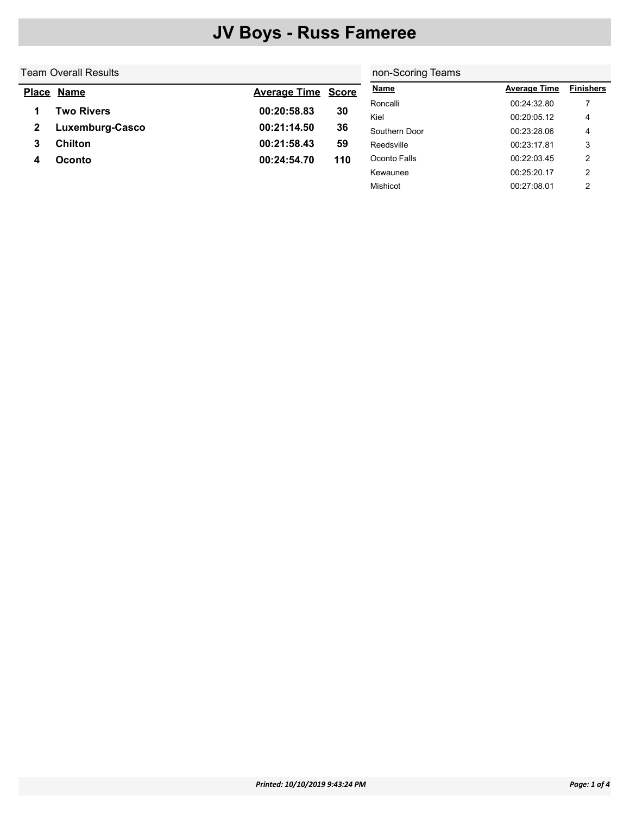#### Team Overall Results

#### non-Scoring Teams

Mishicot 00:27:08.01 2

| <u>Place</u> | <b>Name</b>     | <b>Average Time Score</b> |     | <b>Name</b>   | <b>Average Time</b> | <b>Finishers</b> |
|--------------|-----------------|---------------------------|-----|---------------|---------------------|------------------|
|              |                 |                           |     | Roncalli      | 00:24:32.80         |                  |
|              | Two Rivers      | 00:20:58.83               | 30  | Kiel          | 00:20:05.12         | 4                |
|              | Luxemburg-Casco | 00:21:14.50               | 36  | Southern Door | 00:23:28.06         | 4                |
|              | <b>Chilton</b>  | 00:21:58.43               | 59  | Reedsville    | 00:23:17.81         | 3                |
|              | <b>Oconto</b>   | 00:24:54.70               | 110 | Oconto Falls  | 00:22:03.45         | ာ                |
|              |                 |                           |     | Kewaunee      | 00:25:20.17         | າ                |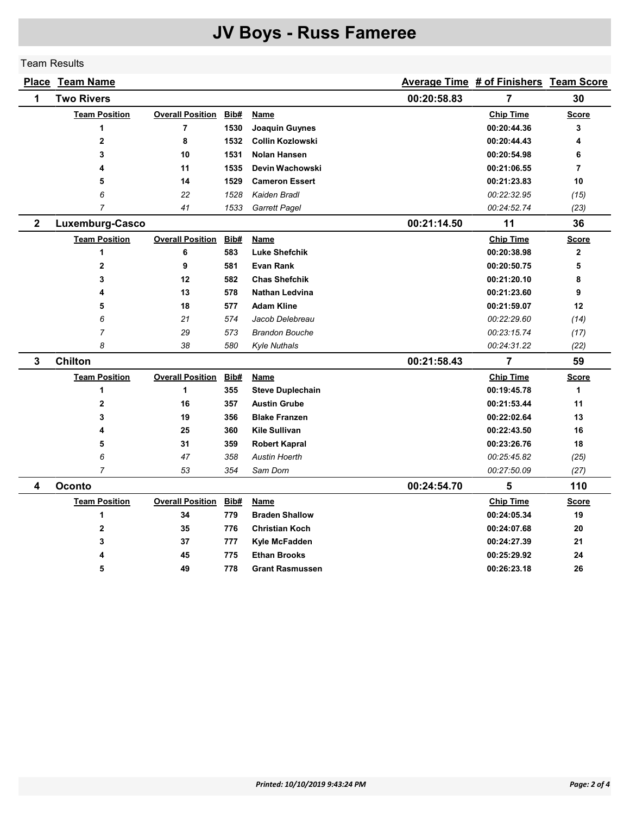Team Results

|              | <b>Place Team Name</b> |                         |      |                         |             | Average Time # of Finishers Team Score |                |
|--------------|------------------------|-------------------------|------|-------------------------|-------------|----------------------------------------|----------------|
| 1            | <b>Two Rivers</b>      |                         |      |                         | 00:20:58.83 | $\overline{7}$                         | 30             |
|              | <b>Team Position</b>   | <b>Overall Position</b> | Bib# | Name                    |             | <b>Chip Time</b>                       | <b>Score</b>   |
|              | 1                      | $\overline{7}$          | 1530 | Joaquin Guynes          |             | 00:20:44.36                            | 3              |
|              | $\overline{2}$         | 8                       | 1532 | <b>Collin Kozlowski</b> |             | 00:20:44.43                            | 4              |
|              | 3                      | 10                      | 1531 | <b>Nolan Hansen</b>     |             | 00:20:54.98                            | 6              |
|              | 4                      | 11                      | 1535 | Devin Wachowski         |             | 00:21:06.55                            | $\overline{7}$ |
|              | 5                      | 14                      | 1529 | <b>Cameron Essert</b>   |             | 00:21:23.83                            | 10             |
|              | 6                      | 22                      | 1528 | Kaiden Bradl            |             | 00:22:32.95                            | (15)           |
|              | $\overline{7}$         | 41                      | 1533 | <b>Garrett Pagel</b>    |             | 00:24:52.74                            | (23)           |
| $\mathbf 2$  | Luxemburg-Casco        |                         |      |                         | 00:21:14.50 | 11                                     | 36             |
|              | <b>Team Position</b>   | <b>Overall Position</b> | Bib# | Name                    |             | <b>Chip Time</b>                       | Score          |
|              | 1                      | 6                       | 583  | <b>Luke Shefchik</b>    |             | 00:20:38.98                            | $\mathbf{2}$   |
|              | $\mathbf 2$            | 9                       | 581  | <b>Evan Rank</b>        |             | 00:20:50.75                            | 5              |
|              | 3                      | 12                      | 582  | <b>Chas Shefchik</b>    |             | 00:21:20.10                            | 8              |
|              | 4                      | 13                      | 578  | <b>Nathan Ledvina</b>   |             | 00:21:23.60                            | 9              |
|              | 5                      | 18                      | 577  | <b>Adam Kline</b>       |             | 00:21:59.07                            | 12             |
|              | 6                      | 21                      | 574  | Jacob Delebreau         |             | 00:22:29.60                            | (14)           |
|              | $\overline{7}$         | 29                      | 573  | <b>Brandon Bouche</b>   |             | 00:23:15.74                            | (17)           |
|              | 8                      | 38                      | 580  | <b>Kyle Nuthals</b>     |             | 00:24:31.22                            | (22)           |
| $\mathbf{3}$ | <b>Chilton</b>         |                         |      |                         | 00:21:58.43 | 7                                      | 59             |
|              | <b>Team Position</b>   | <b>Overall Position</b> | Bib# | <b>Name</b>             |             | <b>Chip Time</b>                       | <b>Score</b>   |
|              | 1                      | 1                       | 355  | <b>Steve Duplechain</b> |             | 00:19:45.78                            | 1              |
|              | $\overline{2}$         | 16                      | 357  | <b>Austin Grube</b>     |             | 00:21:53.44                            | 11             |
|              | 3                      | 19                      | 356  | <b>Blake Franzen</b>    |             | 00:22:02.64                            | 13             |
|              | 4                      | 25                      | 360  | <b>Kile Sullivan</b>    |             | 00:22:43.50                            | 16             |
|              | 5                      | 31                      | 359  | <b>Robert Kapral</b>    |             | 00:23:26.76                            | 18             |
|              | 6                      | 47                      | 358  | <b>Austin Hoerth</b>    |             | 00:25:45.82                            | (25)           |
|              | $\overline{7}$         | 53                      | 354  | Sam Dorn                |             | 00:27:50.09                            | (27)           |
| 4            | Oconto                 |                         |      |                         | 00:24:54.70 | 5                                      | 110            |
|              | <b>Team Position</b>   | <b>Overall Position</b> | Bib# | Name                    |             | <b>Chip Time</b>                       | <b>Score</b>   |
|              | 1                      | 34                      | 779  | <b>Braden Shallow</b>   |             | 00:24:05.34                            | 19             |
|              | $\mathbf{2}$           | 35                      | 776  | <b>Christian Koch</b>   |             | 00:24:07.68                            | 20             |
|              | 3                      | 37                      | 777  | Kyle McFadden           |             | 00:24:27.39                            | 21             |
|              | 4                      | 45                      | 775  | <b>Ethan Brooks</b>     |             | 00:25:29.92                            | 24             |
|              | 5                      | 49                      | 778  | <b>Grant Rasmussen</b>  |             | 00:26:23.18                            | 26             |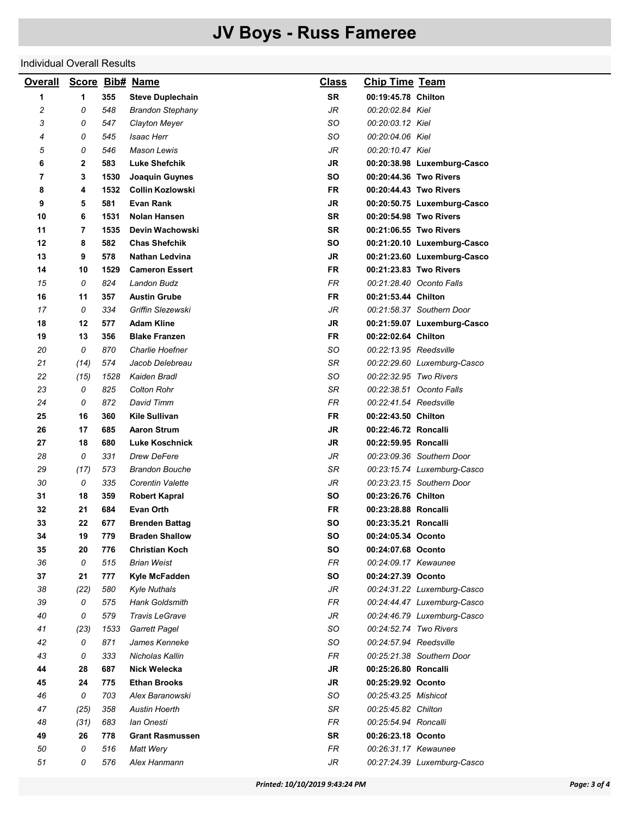#### Individual Overall Results

| <b>Overall</b> |              |            | Score Bib# Name                              | <b>Class</b> | <b>Chip Time Team</b>  |                                                            |
|----------------|--------------|------------|----------------------------------------------|--------------|------------------------|------------------------------------------------------------|
| 1              | 1            | 355        | <b>Steve Duplechain</b>                      | <b>SR</b>    | 00:19:45.78 Chilton    |                                                            |
| 2              | 0            | 548        | <b>Brandon Stephany</b>                      | JR           | 00:20:02.84 Kiel       |                                                            |
| 3              | 0            | 547        | Clayton Meyer                                | SO           | 00:20:03.12 Kiel       |                                                            |
| 4              | 0            | 545        | <b>Isaac Herr</b>                            | SO           | 00:20:04.06 Kiel       |                                                            |
| 5              | 0            | 546        | <b>Mason Lewis</b>                           | JR           | 00:20:10.47 Kiel       |                                                            |
| 6              | $\mathbf{2}$ | 583        | <b>Luke Shefchik</b>                         | JR           |                        | 00:20:38.98 Luxemburg-Casco                                |
| 7              | 3            | 1530       | Joaquin Guynes                               | SO           |                        | 00:20:44.36 Two Rivers                                     |
| 8              | 4            | 1532       | <b>Collin Kozlowski</b>                      | <b>FR</b>    |                        | 00:20:44.43 Two Rivers                                     |
| 9              | 5            | 581        | <b>Evan Rank</b>                             | JR           |                        | 00:20:50.75 Luxemburg-Casco                                |
| 10             | 6            | 1531       | <b>Nolan Hansen</b>                          | <b>SR</b>    |                        | 00:20:54.98 Two Rivers                                     |
| 11             | 7            | 1535       | Devin Wachowski                              | <b>SR</b>    |                        | 00:21:06.55 Two Rivers                                     |
| 12             | 8            | 582        | <b>Chas Shefchik</b>                         | SO           |                        | 00:21:20.10 Luxemburg-Casco                                |
| 13             | 9            | 578        | Nathan Ledvina                               | JR           |                        | 00:21:23.60 Luxemburg-Casco                                |
| 14             | 10           | 1529       | <b>Cameron Essert</b>                        | <b>FR</b>    |                        | 00:21:23.83 Two Rivers                                     |
| 15             | 0            | 824        | Landon Budz                                  | <b>FR</b>    |                        | 00:21:28.40 Oconto Falls                                   |
| 16             | 11           | 357        | <b>Austin Grube</b>                          | FR           | 00:21:53.44 Chilton    |                                                            |
| 17             | 0            | 334        | Griffin Slezewski                            | JR           |                        | 00:21:58.37 Southern Door                                  |
| 18             | 12           | 577        | <b>Adam Kline</b>                            | <b>JR</b>    |                        | 00:21:59.07 Luxemburg-Casco                                |
| 19             | 13           | 356        | <b>Blake Franzen</b>                         | <b>FR</b>    | 00:22:02.64 Chilton    |                                                            |
| 20             | 0            | 870        | Charlie Hoefner                              | SO           | 00:22:13.95 Reedsville |                                                            |
| 21             | (14)         | 574        | Jacob Delebreau                              | SR           |                        | 00:22:29.60 Luxemburg-Casco                                |
| 22             | (15)         | 1528       | Kaiden Bradl                                 | SO           | 00:22:32.95 Two Rivers |                                                            |
| 23             | 0            | 825        | <b>Colton Rohr</b>                           | SR           |                        | 00:22:38.51 Oconto Falls                                   |
| 24             | 0            | 872        | David Timm                                   | <b>FR</b>    | 00:22:41.54 Reedsville |                                                            |
| 25             | 16           | 360        | Kile Sullivan                                | <b>FR</b>    | 00:22:43.50 Chilton    |                                                            |
| 26             | 17           | 685        | <b>Aaron Strum</b>                           | JR           | 00:22:46.72 Roncalli   |                                                            |
| 27             | 18           | 680        | <b>Luke Koschnick</b>                        | <b>JR</b>    | 00:22:59.95 Roncalli   |                                                            |
| 28             | 0            | 331        | Drew DeFere                                  | JR           |                        | 00:23:09.36 Southern Door                                  |
| 29             | (17)         | 573        | <b>Brandon Bouche</b>                        | SR           |                        | 00:23:15.74 Luxemburg-Casco                                |
| 30             | 0            | 335        | Corentin Valette                             | JR           |                        | 00:23:23.15 Southern Door                                  |
| 31             | 18           | 359        | <b>Robert Kapral</b>                         | SΟ           | 00:23:26.76 Chilton    |                                                            |
| 32             | 21           | 684        | Evan Orth                                    | FR           | 00:23:28.88 Roncalli   |                                                            |
| 33             | 22           | 677        | <b>Brenden Battag</b>                        | so           | 00:23:35.21 Roncalli   |                                                            |
| 34             | 19           | 779        | <b>Braden Shallow</b>                        | SO           | 00:24:05.34 Oconto     |                                                            |
| 35             | 20           | 776        | <b>Christian Koch</b>                        | SO           | 00:24:07.68 Oconto     |                                                            |
| 36             | 0            | 515        | <b>Brian Weist</b>                           | FR           | 00:24:09.17 Kewaunee   |                                                            |
| 37             | 21           | 777        | Kyle McFadden                                | SO           | 00:24:27.39 Oconto     |                                                            |
| 38<br>39       | (22)<br>0    | 580<br>575 | <b>Kyle Nuthals</b><br><b>Hank Goldsmith</b> | JR<br>FR     |                        | 00:24:31.22 Luxemburg-Casco<br>00:24:44.47 Luxemburg-Casco |
| 40             | 0            | 579        | Travis LeGrave                               | JR           |                        | 00:24:46.79 Luxemburg-Casco                                |
| 41             | (23)         | 1533       | <b>Garrett Pagel</b>                         | SO           | 00:24:52.74 Two Rivers |                                                            |
| 42             | 0            | 871        | James Kenneke                                | SO           | 00:24:57.94 Reedsville |                                                            |
| 43             | 0            | 333        | Nicholas Kallin                              | FR           |                        | 00:25:21.38 Southern Door                                  |
| 44             | 28           | 687        | Nick Welecka                                 | JR           | 00:25:26.80 Roncalli   |                                                            |
| 45             | 24           | 775        | <b>Ethan Brooks</b>                          | JR           | 00:25:29.92 Oconto     |                                                            |
| 46             | 0            | 703        | Alex Baranowski                              | SO           | 00:25:43.25 Mishicot   |                                                            |
| 47             | (25)         | 358        | <b>Austin Hoerth</b>                         | SR           | 00:25:45.82 Chilton    |                                                            |
| 48             | (31)         | 683        | lan Onesti                                   | FR           | 00:25:54.94 Roncalli   |                                                            |
| 49             | 26           | 778        | <b>Grant Rasmussen</b>                       | SR           | 00:26:23.18 Oconto     |                                                            |
| 50             | 0            | 516        | Matt Wery                                    | <b>FR</b>    | 00:26:31.17 Kewaunee   |                                                            |
| 51             | 0            | 576        | Alex Hanmann                                 | JR           |                        | 00:27:24.39 Luxemburg-Casco                                |
|                |              |            |                                              |              |                        |                                                            |